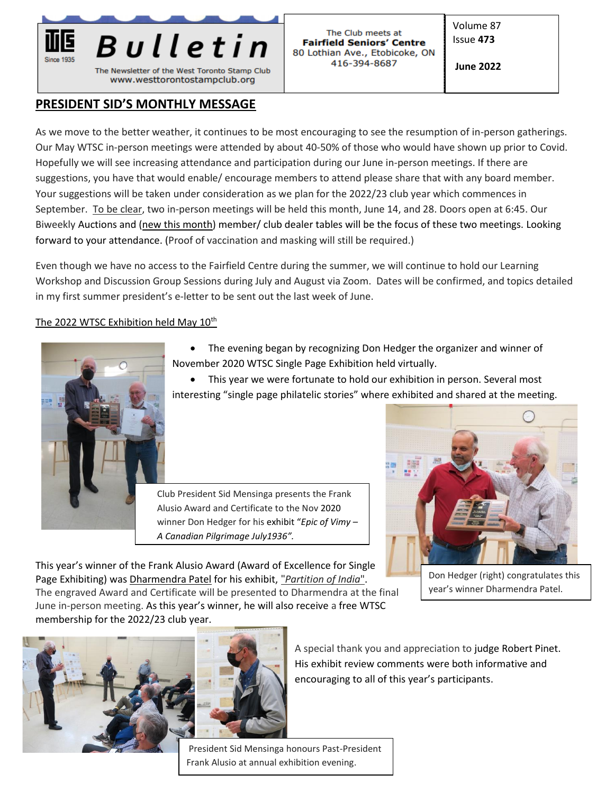

# **PRESIDENT SID'S MONTHLY MESSAGE**

As we move to the better weather, it continues to be most encouraging to see the resumption of in-person gatherings. Our May WTSC in-person meetings were attended by about 40-50% of those who would have shown up prior to Covid. Hopefully we will see increasing attendance and participation during our June in-person meetings. If there are suggestions, you have that would enable/ encourage members to attend please share that with any board member. Your suggestions will be taken under consideration as we plan for the 2022/23 club year which commences in September. To be clear, two in-person meetings will be held this month, June 14, and 28. Doors open at 6:45. Our Biweekly Auctions and (new this month) member/ club dealer tables will be the focus of these two meetings. Looking forward to your attendance. (Proof of vaccination and masking will still be required.)

Even though we have no access to the Fairfield Centre during the summer, we will continue to hold our Learning Workshop and Discussion Group Sessions during July and August via Zoom. Dates will be confirmed, and topics detailed in my first summer president's e-letter to be sent out the last week of June.

### The 2022 WTSC Exhibition held May 10<sup>th</sup>



- The evening began by recognizing Don Hedger the organizer and winner of November 2020 WTSC Single Page Exhibition held virtually.
- This year we were fortunate to hold our exhibition in person. Several most interesting "single page philatelic stories" where exhibited and shared at the meeting.

Club President Sid Mensinga presents the Frank Alusio Award and Certificate to the Nov 2020 winner Don Hedger for his exhibit "*Epic of Vimy – A Canadian Pilgrimage July1936".* 



This year's winner of the Frank Alusio Award (Award of Excellence for Single Page Exhibiting) was Dharmendra Patel for his exhibit, "*Partition of India*". The engraved Award and Certificate will be presented to Dharmendra at the final June in-person meeting. As this year's winner, he will also receive a free WTSC membership for the 2022/23 club year.

Don Hedger (right) congratulates this year's winner Dharmendra Patel.



A special thank you and appreciation to judge Robert Pinet. His exhibit review comments were both informative and encouraging to all of this year's participants.

President Sid Mensinga honours Past-President Frank Alusio at annual exhibition evening.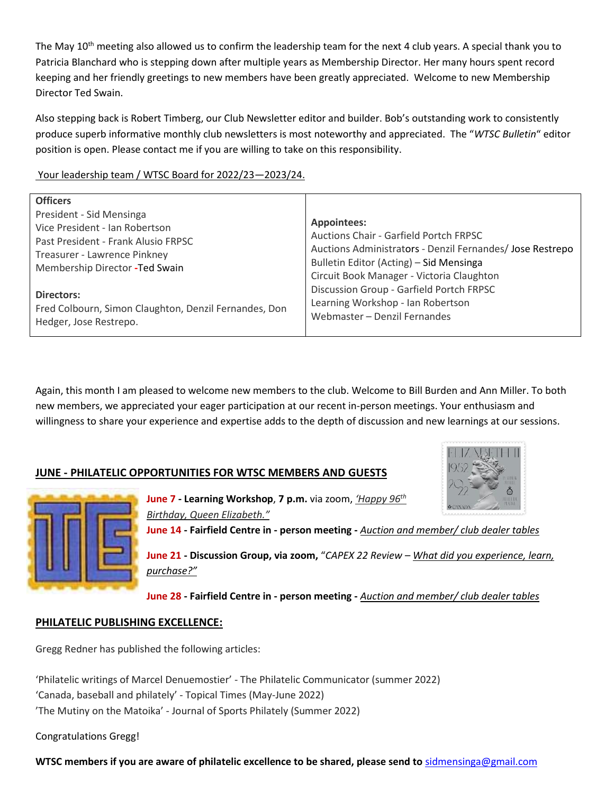The May 10<sup>th</sup> meeting also allowed us to confirm the leadership team for the next 4 club years. A special thank you to Patricia Blanchard who is stepping down after multiple years as Membership Director. Her many hours spent record keeping and her friendly greetings to new members have been greatly appreciated. Welcome to new Membership Director Ted Swain.

Also stepping back is Robert Timberg, our Club Newsletter editor and builder. Bob's outstanding work to consistently produce superb informative monthly club newsletters is most noteworthy and appreciated. The "*WTSC Bulletin*" editor position is open. Please contact me if you are willing to take on this responsibility.

Your leadership team / WTSC Board for 2022/23—2023/24.

Again, this month I am pleased to welcome new members to the club. Welcome to Bill Burden and Ann Miller. To both new members, we appreciated your eager participation at our recent in-person meetings. Your enthusiasm and willingness to share your experience and expertise adds to the depth of discussion and new learnings at our sessions.

## **JUNE - PHILATELIC OPPORTUNITIES FOR WTSC MEMBERS AND GUESTS**





**June 7 - Learning Workshop**, **7 p.m.** via zoom, *'Happy 96th Birthday, Queen Elizabeth."*

**June 14 - Fairfield Centre in - person meeting -** *Auction and member/ club dealer tables*

**June 21 - Discussion Group, via zoom,** "*CAPEX 22 Review – What did you experience, learn, purchase?"*

**June 28 - Fairfield Centre in - person meeting -** *Auction and member/ club dealer tables* 

## **PHILATELIC PUBLISHING EXCELLENCE:**

Gregg Redner has published the following articles:

'Philatelic writings of Marcel Denuemostier' - The Philatelic Communicator (summer 2022) 'Canada, baseball and philately' - Topical Times (May-June 2022) 'The Mutiny on the Matoika' - Journal of Sports Philately (Summer 2022)

Congratulations Gregg!

**WTSC members if you are aware of philatelic excellence to be shared, please send to** [sidmensinga@gmail.com](mailto:sidmensinga@gmail.com)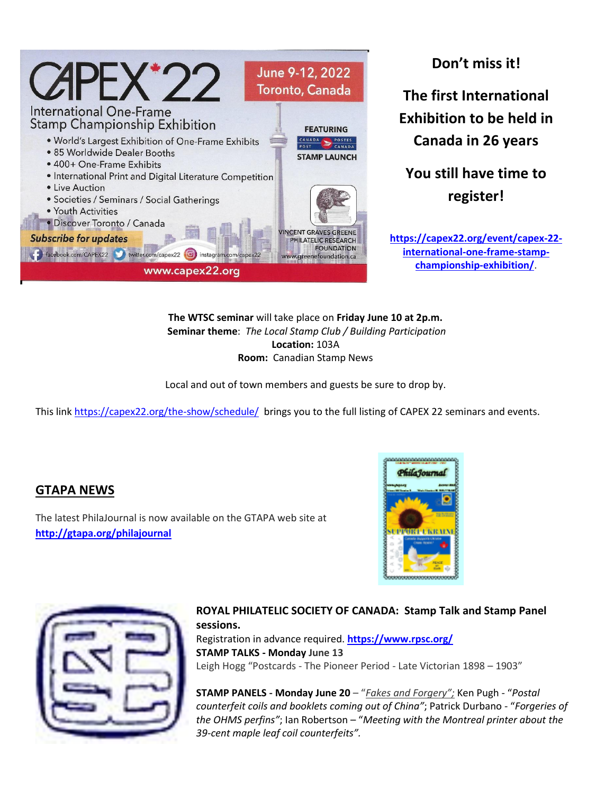

**Don't miss it! The first International Exhibition to be held in Canada in 26 years** 

**You still have time to register!**

**[https://capex22.org/event/capex-22](https://capex22.org/event/capex-22-international-one-frame-stamp-championship-exhibition/) [international-one-frame-stamp](https://capex22.org/event/capex-22-international-one-frame-stamp-championship-exhibition/)[championship-exhibition/](https://capex22.org/event/capex-22-international-one-frame-stamp-championship-exhibition/)**.

**The WTSC seminar** will take place on **Friday June 10 at 2p.m. Seminar theme**: *The Local Stamp Club / Building Participation* **Location:** 103A **Room:** Canadian Stamp News

Local and out of town members and guests be sure to drop by.

This link<https://capex22.org/the-show/schedule/>brings you to the full listing of CAPEX 22 seminars and events.

# **GTAPA NEWS**

The latest PhilaJournal is now available on the GTAPA web site at **<http://gtapa.org/philajournal>**



| O, |
|----|
|    |
|    |
|    |

#### **ROYAL PHILATELIC SOCIETY OF CANADA: Stamp Talk and Stamp Panel sessions.**

Registration in advance required. **<https://www.rpsc.org/> STAMP TALKS - Monday June 13** Leigh Hogg "Postcards - The Pioneer Period - Late Victorian 1898 – 1903"

**STAMP PANELS - Monday June 20** – "*Fakes and Forgery";* Ken Pugh - "*Postal counterfeit coils and booklets coming out of China"*; Patrick Durbano - "*Forgeries of the OHMS perfins"*; Ian Robertson – "*Meeting with the Montreal printer about the 39-cent maple leaf coil counterfeits".*